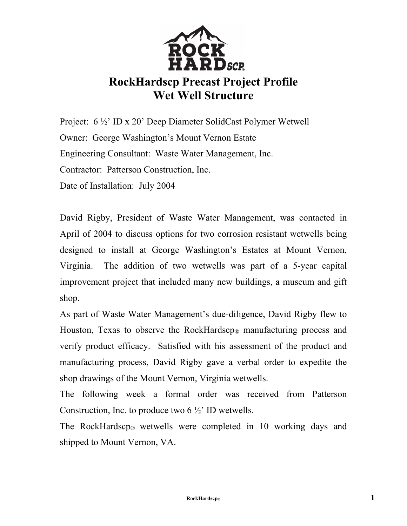

## **RockHardscp Precast Project Profile Wet Well Structure**

Project: 6 ½' ID x 20' Deep Diameter SolidCast Polymer Wetwell Owner: George Washington's Mount Vernon Estate Engineering Consultant: Waste Water Management, Inc. Contractor: Patterson Construction, Inc. Date of Installation: July 2004

David Rigby, President of Waste Water Management, was contacted in April of 2004 to discuss options for two corrosion resistant wetwells being designed to install at George Washington's Estates at Mount Vernon, Virginia. The addition of two wetwells was part of a 5-year capital improvement project that included many new buildings, a museum and gift shop.

As part of Waste Water Management's due-diligence, David Rigby flew to Houston, Texas to observe the RockHardscp<sub>®</sub> manufacturing process and verify product efficacy. Satisfied with his assessment of the product and manufacturing process, David Rigby gave a verbal order to expedite the shop drawings of the Mount Vernon, Virginia wetwells.

The following week a formal order was received from Patterson Construction, Inc. to produce two  $6\frac{1}{2}$ . ID wetwells.

The RockHardscp® wetwells were completed in 10 working days and shipped to Mount Vernon, VA.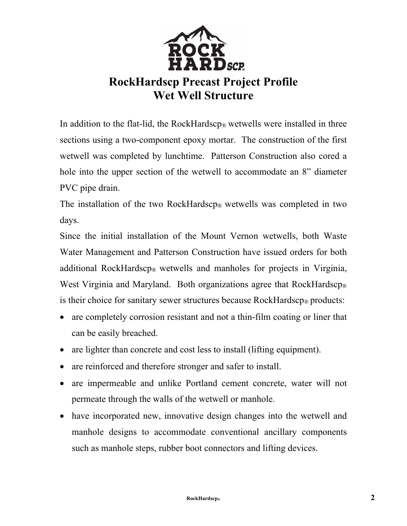

## **RockHardscp Precast Project Profile Wet Well Structure**

In addition to the flat-lid, the RockHardscp<sup>®</sup> wetwells were installed in three sections using a two-component epoxy mortar. The construction of the first wetwell was completed by lunchtime. Patterson Construction also cored a hole into the upper section of the wetwell to accommodate an 8" diameter PVC pipe drain.

The installation of the two RockHardscp<sup>®</sup> wetwells was completed in two days.

Since the initial installation of the Mount Vernon wetwells, both Waste Water Management and Patterson Construction have issued orders for both additional RockHardscp® wetwells and manholes for projects in Virginia, West Virginia and Maryland. Both organizations agree that RockHardscp<sup>®</sup> is their choice for sanitary sewer structures because RockHardscp<sup>®</sup> products:

- are completely corrosion resistant and not a thin-film coating or liner that can be easily breached.
- are lighter than concrete and cost less to install (lifting equipment).
- are reinforced and therefore stronger and safer to install.
- are impermeable and unlike Portland cement concrete, water will not permeate through the walls of the wetwell or manhole.
- have incorporated new, innovative design changes into the wetwell and manhole designs to accommodate conventional ancillary components such as manhole steps, rubber boot connectors and lifting devices.